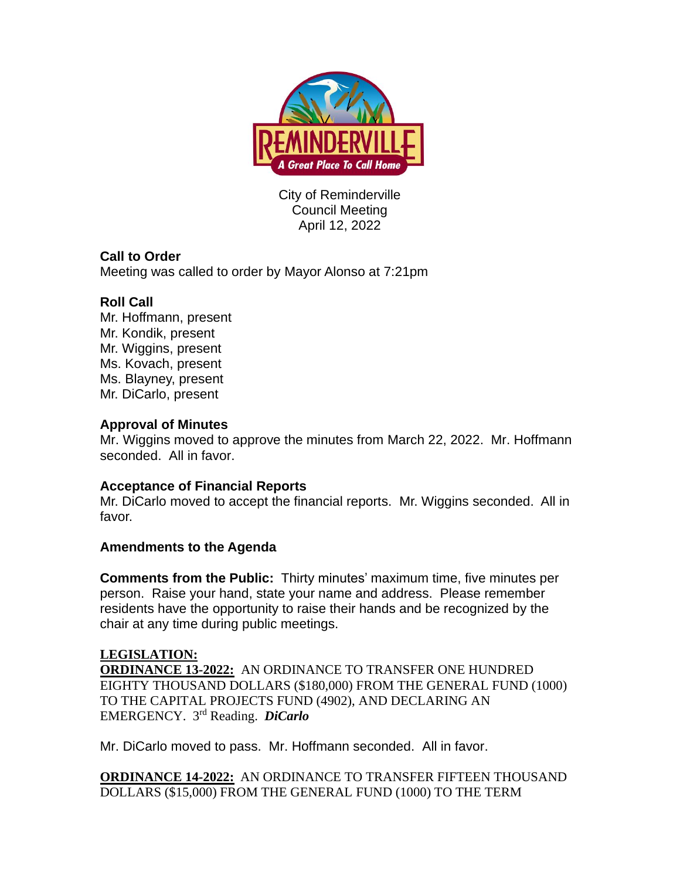

City of Reminderville Council Meeting April 12, 2022

# **Call to Order**

Meeting was called to order by Mayor Alonso at 7:21pm

## **Roll Call**

Mr. Hoffmann, present Mr. Kondik, present Mr. Wiggins, present Ms. Kovach, present Ms. Blayney, present Mr. DiCarlo, present

### **Approval of Minutes**

Mr. Wiggins moved to approve the minutes from March 22, 2022. Mr. Hoffmann seconded. All in favor.

### **Acceptance of Financial Reports**

Mr. DiCarlo moved to accept the financial reports. Mr. Wiggins seconded. All in favor.

### **Amendments to the Agenda**

**Comments from the Public:** Thirty minutes' maximum time, five minutes per person. Raise your hand, state your name and address. Please remember residents have the opportunity to raise their hands and be recognized by the chair at any time during public meetings.

### **LEGISLATION:**

**ORDINANCE 13-2022:** AN ORDINANCE TO TRANSFER ONE HUNDRED EIGHTY THOUSAND DOLLARS (\$180,000) FROM THE GENERAL FUND (1000) TO THE CAPITAL PROJECTS FUND (4902), AND DECLARING AN EMERGENCY. 3 rd Reading. *DiCarlo*

Mr. DiCarlo moved to pass. Mr. Hoffmann seconded. All in favor.

**ORDINANCE 14-2022:** AN ORDINANCE TO TRANSFER FIFTEEN THOUSAND DOLLARS (\$15,000) FROM THE GENERAL FUND (1000) TO THE TERM